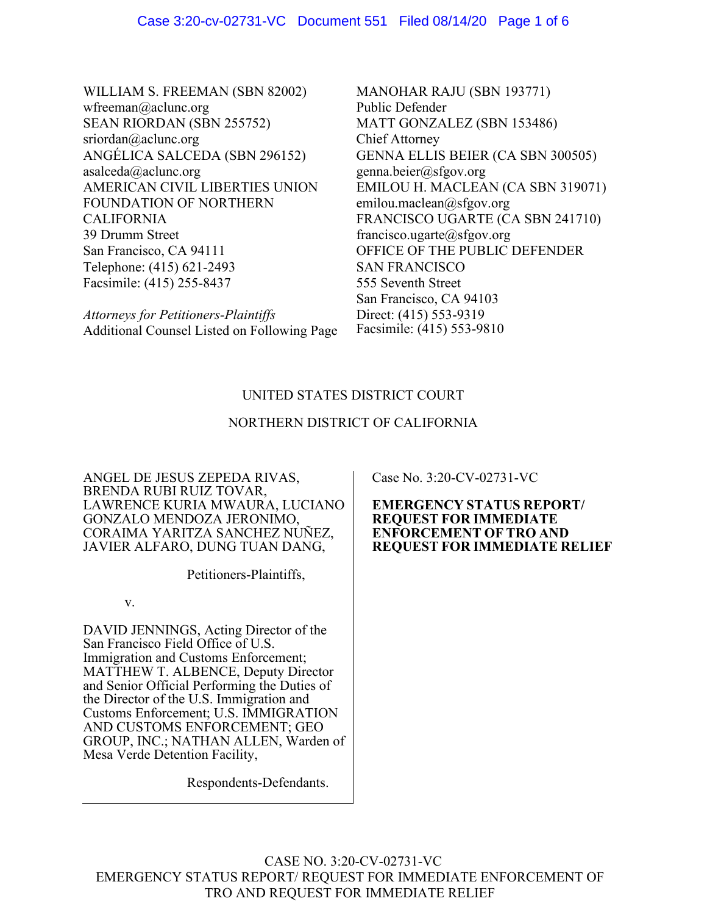WILLIAM S. FREEMAN (SBN 82002) wfreeman@aclunc.org SEAN RIORDAN (SBN 255752) sriordan@aclunc.org ANGÉLICA SALCEDA (SBN 296152) asalceda@aclunc.org AMERICAN CIVIL LIBERTIES UNION FOUNDATION OF NORTHERN CALIFORNIA 39 Drumm Street San Francisco, CA 94111 Telephone: (415) 621-2493 Facsimile: (415) 255-8437

*Attorneys for Petitioners-Plaintiffs* Additional Counsel Listed on Following Page MANOHAR RAJU (SBN 193771) Public Defender MATT GONZALEZ (SBN 153486) Chief Attorney GENNA ELLIS BEIER (CA SBN 300505) genna.beier@sfgov.org EMILOU H. MACLEAN (CA SBN 319071) emilou.maclean@sfgov.org FRANCISCO UGARTE (CA SBN 241710) francisco.ugarte@sfgov.org OFFICE OF THE PUBLIC DEFENDER SAN FRANCISCO 555 Seventh Street San Francisco, CA 94103 Direct: (415) 553-9319 Facsimile: (415) 553-9810

# UNITED STATES DISTRICT COURT

# NORTHERN DISTRICT OF CALIFORNIA

ANGEL DE JESUS ZEPEDA RIVAS, BRENDA RUBI RUIZ TOVAR, LAWRENCE KURIA MWAURA, LUCIANO GONZALO MENDOZA JERONIMO, CORAIMA YARITZA SANCHEZ NUÑEZ, JAVIER ALFARO, DUNG TUAN DANG,

Petitioners-Plaintiffs,

v.

DAVID JENNINGS, Acting Director of the San Francisco Field Office of U.S. Immigration and Customs Enforcement; MATTHEW T. ALBENCE, Deputy Director and Senior Official Performing the Duties of the Director of the U.S. Immigration and Customs Enforcement; U.S. IMMIGRATION AND CUSTOMS ENFORCEMENT; GEO GROUP, INC.; NATHAN ALLEN, Warden of Mesa Verde Detention Facility,

Respondents-Defendants.

Case No. 3:20-CV-02731-VC

**EMERGENCY STATUS REPORT/ REQUEST FOR IMMEDIATE ENFORCEMENT OF TRO AND REQUEST FOR IMMEDIATE RELIEF**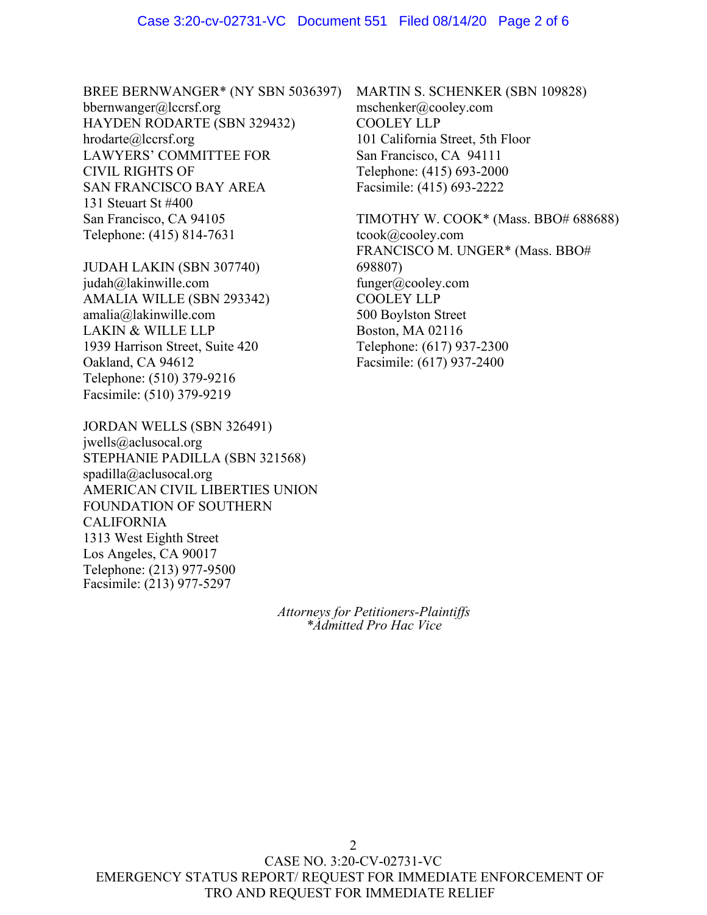BREE BERNWANGER\* (NY SBN 5036397) bbernwanger@lccrsf.org HAYDEN RODARTE (SBN 329432) hrodarte@lccrsf.org LAWYERS' COMMITTEE FOR CIVIL RIGHTS OF SAN FRANCISCO BAY AREA 131 Steuart St #400 San Francisco, CA 94105 Telephone: (415) 814-7631

JUDAH LAKIN (SBN 307740) judah@lakinwille.com AMALIA WILLE (SBN 293342) amalia@lakinwille.com LAKIN & WILLE LLP 1939 Harrison Street, Suite 420 Oakland, CA 94612 Telephone: (510) 379-9216 Facsimile: (510) 379-9219

JORDAN WELLS (SBN 326491) jwells@aclusocal.org STEPHANIE PADILLA (SBN 321568) spadilla@aclusocal.org AMERICAN CIVIL LIBERTIES UNION FOUNDATION OF SOUTHERN CALIFORNIA 1313 West Eighth Street Los Angeles, CA 90017 Telephone: (213) 977-9500 Facsimile: (213) 977-5297

> *Attorneys for Petitioners-Plaintiffs \*Admitted Pro Hac Vice*

MARTIN S. SCHENKER (SBN 109828) mschenker@cooley.com COOLEY LLP 101 California Street, 5th Floor San Francisco, CA 94111 Telephone: (415) 693-2000 Facsimile: (415) 693-2222

TIMOTHY W. COOK\* (Mass. BBO# 688688) tcook@cooley.com FRANCISCO M. UNGER\* (Mass. BBO# 698807) funger@cooley.com COOLEY LLP 500 Boylston Street Boston, MA 02116 Telephone: (617) 937-2300 Facsimile: (617) 937-2400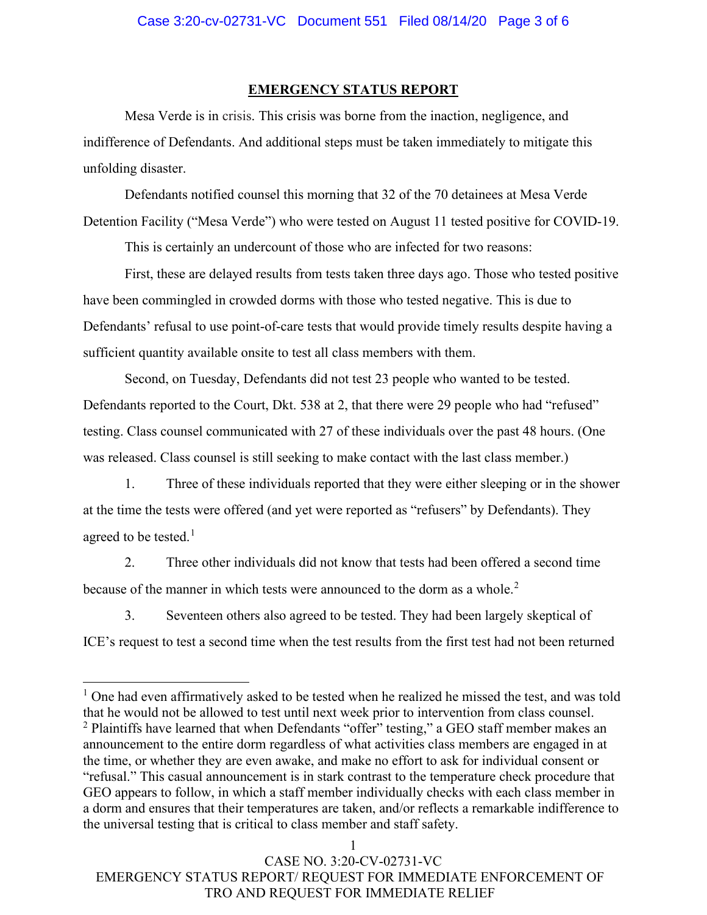#### **EMERGENCY STATUS REPORT**

Mesa Verde is in crisis. This crisis was borne from the inaction, negligence, and indifference of Defendants. And additional steps must be taken immediately to mitigate this unfolding disaster.

Defendants notified counsel this morning that 32 of the 70 detainees at Mesa Verde Detention Facility ("Mesa Verde") who were tested on August 11 tested positive for COVID-19.

This is certainly an undercount of those who are infected for two reasons:

First, these are delayed results from tests taken three days ago. Those who tested positive have been commingled in crowded dorms with those who tested negative. This is due to Defendants' refusal to use point-of-care tests that would provide timely results despite having a sufficient quantity available onsite to test all class members with them.

Second, on Tuesday, Defendants did not test 23 people who wanted to be tested. Defendants reported to the Court, Dkt. 538 at 2, that there were 29 people who had "refused" testing. Class counsel communicated with 27 of these individuals over the past 48 hours. (One was released. Class counsel is still seeking to make contact with the last class member.)

1. Three of these individuals reported that they were either sleeping or in the shower at the time the tests were offered (and yet were reported as "refusers" by Defendants). They agreed to be tested.<sup>[1](#page-2-0)</sup>

2. Three other individuals did not know that tests had been offered a second time because of the manner in which tests were announced to the dorm as a whole.<sup>[2](#page-2-1)</sup>

3. Seventeen others also agreed to be tested. They had been largely skeptical of ICE's request to test a second time when the test results from the first test had not been returned

<span id="page-2-1"></span><span id="page-2-0"></span> $1$  One had even affirmatively asked to be tested when he realized he missed the test, and was told that he would not be allowed to test until next week prior to intervention from class counsel.  $2$  Plaintiffs have learned that when Defendants "offer" testing," a GEO staff member makes an announcement to the entire dorm regardless of what activities class members are engaged in at the time, or whether they are even awake, and make no effort to ask for individual consent or "refusal." This casual announcement is in stark contrast to the temperature check procedure that GEO appears to follow, in which a staff member individually checks with each class member in a dorm and ensures that their temperatures are taken, and/or reflects a remarkable indifference to the universal testing that is critical to class member and staff safety.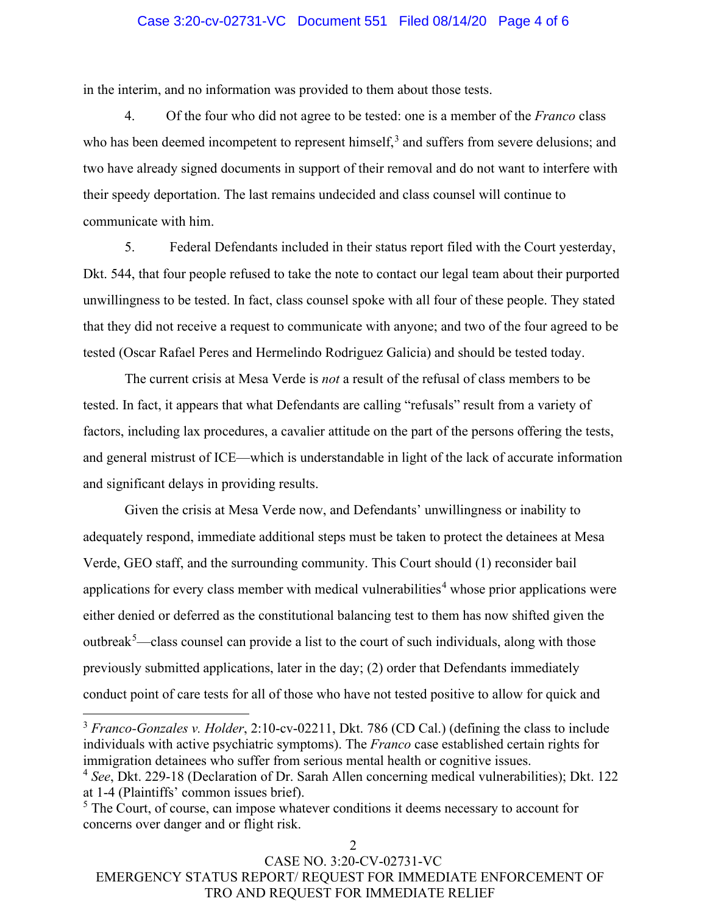### Case 3:20-cv-02731-VC Document 551 Filed 08/14/20 Page 4 of 6

in the interim, and no information was provided to them about those tests.

4. Of the four who did not agree to be tested: one is a member of the *Franco* class who has been deemed incompetent to represent himself,<sup>[3](#page-3-0)</sup> and suffers from severe delusions; and two have already signed documents in support of their removal and do not want to interfere with their speedy deportation. The last remains undecided and class counsel will continue to communicate with him.

5. Federal Defendants included in their status report filed with the Court yesterday, Dkt. 544, that four people refused to take the note to contact our legal team about their purported unwillingness to be tested. In fact, class counsel spoke with all four of these people. They stated that they did not receive a request to communicate with anyone; and two of the four agreed to be tested (Oscar Rafael Peres and Hermelindo Rodriguez Galicia) and should be tested today.

The current crisis at Mesa Verde is *not* a result of the refusal of class members to be tested. In fact, it appears that what Defendants are calling "refusals" result from a variety of factors, including lax procedures, a cavalier attitude on the part of the persons offering the tests, and general mistrust of ICE—which is understandable in light of the lack of accurate information and significant delays in providing results.

Given the crisis at Mesa Verde now, and Defendants' unwillingness or inability to adequately respond, immediate additional steps must be taken to protect the detainees at Mesa Verde, GEO staff, and the surrounding community. This Court should (1) reconsider bail applications for every class member with medical vulnerabilities<sup>[4](#page-3-1)</sup> whose prior applications were either denied or deferred as the constitutional balancing test to them has now shifted given the outbreak<sup>[5](#page-3-2)</sup>—class counsel can provide a list to the court of such individuals, along with those previously submitted applications, later in the day; (2) order that Defendants immediately conduct point of care tests for all of those who have not tested positive to allow for quick and

<span id="page-3-0"></span><sup>&</sup>lt;sup>3</sup> *Franco-Gonzales v. Holder*, 2:10-cv-02211, Dkt. 786 (CD Cal.) (defining the class to include individuals with active psychiatric symptoms). The *Franco* case established certain rights for immigration detainees who suffer from serious mental health or cognitive issues. <sup>4</sup> *See*, Dkt. 229-18 (Declaration of Dr. Sarah Allen concerning medical vulnerabilities); Dkt. 122

<span id="page-3-1"></span>at 1-4 (Plaintiffs' common issues brief).

<span id="page-3-2"></span><sup>&</sup>lt;sup>5</sup> The Court, of course, can impose whatever conditions it deems necessary to account for concerns over danger and or flight risk.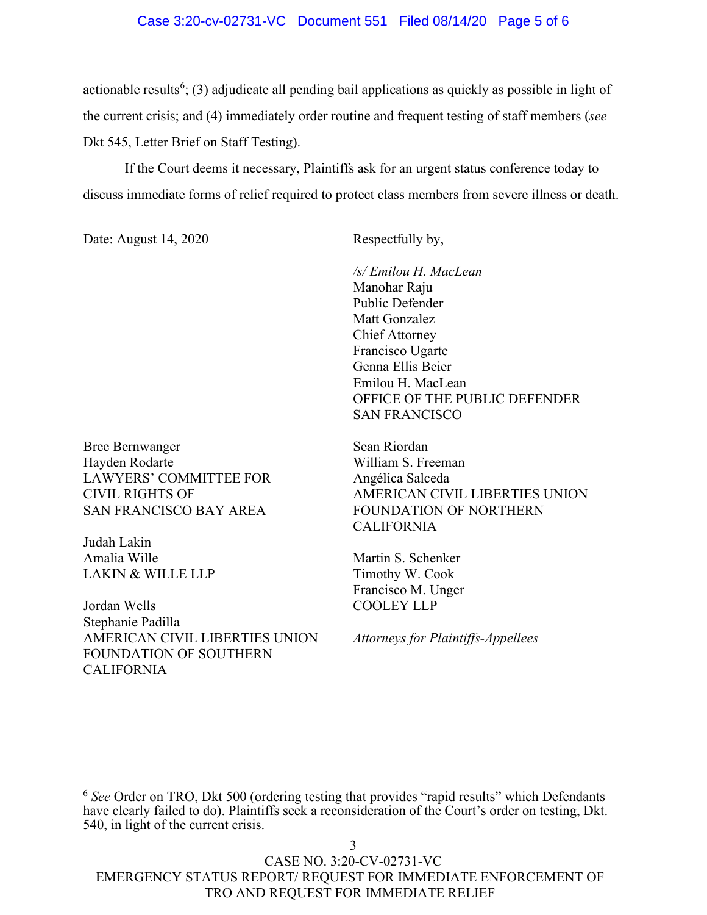#### Case 3:20-cv-02731-VC Document 551 Filed 08/14/20 Page 5 of 6

actionable results<sup>[6](#page-4-0)</sup>; (3) adjudicate all pending bail applications as quickly as possible in light of the current crisis; and (4) immediately order routine and frequent testing of staff members (*see* Dkt 545, Letter Brief on Staff Testing).

If the Court deems it necessary, Plaintiffs ask for an urgent status conference today to discuss immediate forms of relief required to protect class members from severe illness or death.

Date: August 14, 2020 Respectfully by,

*/s/ Emilou H. MacLean* Manohar Raju Public Defender Matt Gonzalez Chief Attorney Francisco Ugarte Genna Ellis Beier Emilou H. MacLean OFFICE OF THE PUBLIC DEFENDER SAN FRANCISCO

Bree Bernwanger Hayden Rodarte LAWYERS' COMMITTEE FOR CIVIL RIGHTS OF SAN FRANCISCO BAY AREA

Judah Lakin Amalia Wille LAKIN & WILLE LLP

Jordan Wells Stephanie Padilla AMERICAN CIVIL LIBERTIES UNION FOUNDATION OF SOUTHERN CALIFORNIA

Sean Riordan William S. Freeman Angélica Salceda AMERICAN CIVIL LIBERTIES UNION FOUNDATION OF NORTHERN CALIFORNIA

Martin S. Schenker Timothy W. Cook Francisco M. Unger COOLEY LLP

*Attorneys for Plaintiffs-Appellees*

<span id="page-4-0"></span><sup>&</sup>lt;sup>6</sup> See Order on TRO, Dkt 500 (ordering testing that provides "rapid results" which Defendants have clearly failed to do). Plaintiffs seek a reconsideration of the Court's order on testing, Dkt. 540, in light of the current crisis.